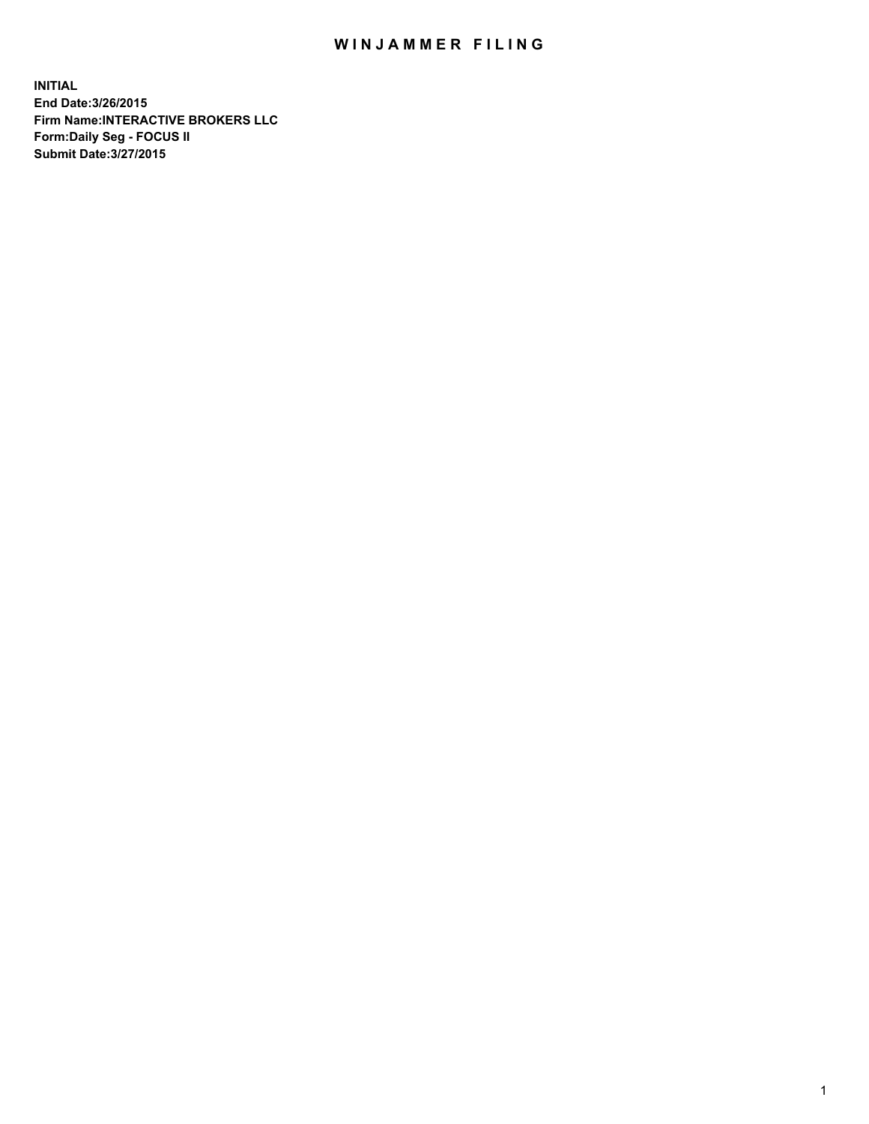## WIN JAMMER FILING

**INITIAL End Date:3/26/2015 Firm Name:INTERACTIVE BROKERS LLC Form:Daily Seg - FOCUS II Submit Date:3/27/2015**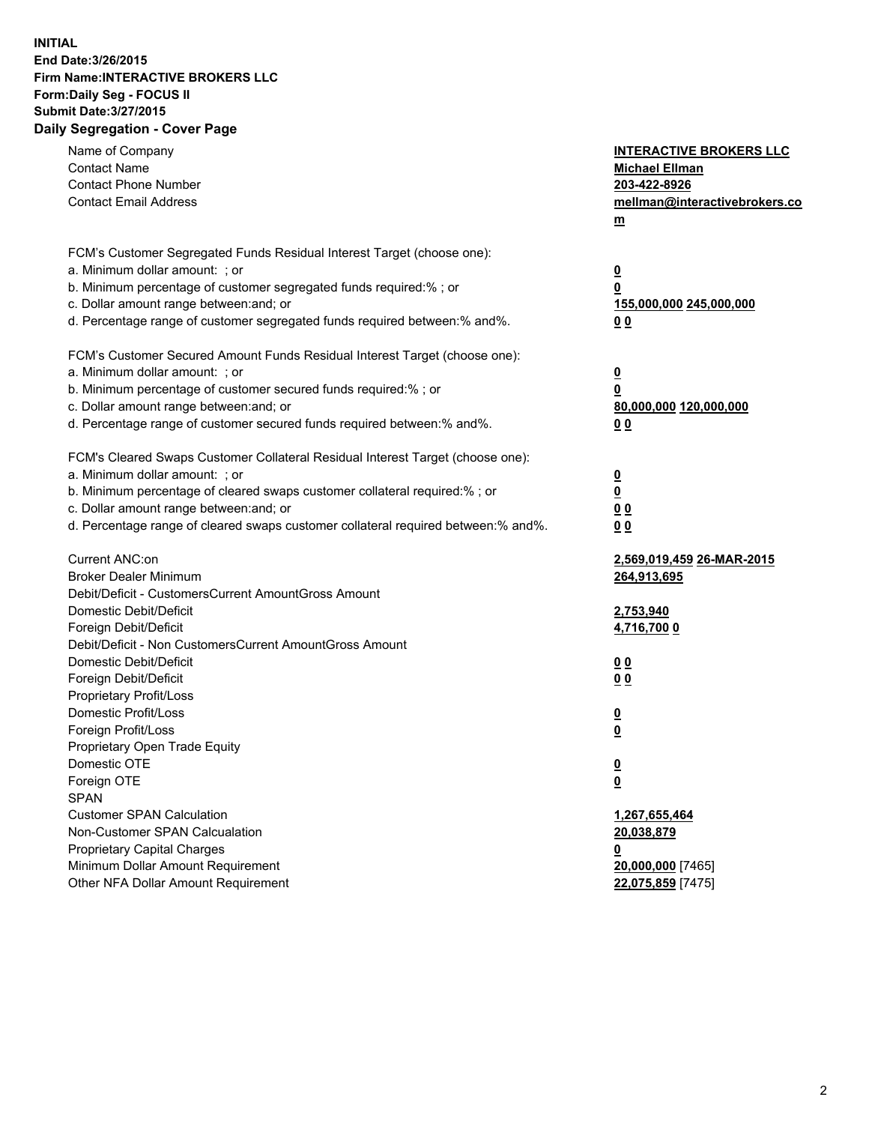## **INITIAL End Date:3/26/2015 Firm Name:INTERACTIVE BROKERS LLC Form:Daily Seg - FOCUS II Submit Date:3/27/2015 Daily Segregation - Cover Page**

| Name of Company                                                                   | <b>INTERACTIVE BROKERS LLC</b>                      |
|-----------------------------------------------------------------------------------|-----------------------------------------------------|
| <b>Contact Name</b>                                                               | <b>Michael Ellman</b>                               |
| <b>Contact Phone Number</b>                                                       | 203-422-8926                                        |
| <b>Contact Email Address</b>                                                      | mellman@interactivebrokers.co                       |
|                                                                                   | $\underline{\mathbf{m}}$                            |
| FCM's Customer Segregated Funds Residual Interest Target (choose one):            |                                                     |
| a. Minimum dollar amount: ; or                                                    | $\overline{\mathbf{0}}$                             |
| b. Minimum percentage of customer segregated funds required:% ; or                | 0                                                   |
| c. Dollar amount range between: and; or                                           | 155,000,000 245,000,000                             |
| d. Percentage range of customer segregated funds required between:% and%.         | 00                                                  |
| FCM's Customer Secured Amount Funds Residual Interest Target (choose one):        |                                                     |
| a. Minimum dollar amount: ; or                                                    | $\overline{\mathbf{0}}$                             |
| b. Minimum percentage of customer secured funds required:% ; or                   | 0                                                   |
| c. Dollar amount range between: and; or                                           | 80,000,000 120,000,000                              |
| d. Percentage range of customer secured funds required between:% and%.            | 00                                                  |
| FCM's Cleared Swaps Customer Collateral Residual Interest Target (choose one):    |                                                     |
| a. Minimum dollar amount: ; or                                                    |                                                     |
| b. Minimum percentage of cleared swaps customer collateral required:% ; or        | $\overline{\mathbf{0}}$<br>$\underline{\mathbf{0}}$ |
| c. Dollar amount range between: and; or                                           | 0 <sub>0</sub>                                      |
| d. Percentage range of cleared swaps customer collateral required between:% and%. | 0 <sub>0</sub>                                      |
|                                                                                   |                                                     |
| Current ANC:on                                                                    | 2,569,019,459 26-MAR-2015                           |
| <b>Broker Dealer Minimum</b>                                                      | 264,913,695                                         |
| Debit/Deficit - CustomersCurrent AmountGross Amount                               |                                                     |
| Domestic Debit/Deficit                                                            | 2,753,940                                           |
| Foreign Debit/Deficit                                                             | 4,716,700 0                                         |
| Debit/Deficit - Non CustomersCurrent AmountGross Amount                           |                                                     |
| Domestic Debit/Deficit                                                            | 0 <sub>0</sub>                                      |
| Foreign Debit/Deficit                                                             | 0 <sub>0</sub>                                      |
| Proprietary Profit/Loss                                                           |                                                     |
| Domestic Profit/Loss                                                              | $\overline{\mathbf{0}}$                             |
| Foreign Profit/Loss                                                               | $\underline{\mathbf{0}}$                            |
| Proprietary Open Trade Equity                                                     |                                                     |
| Domestic OTE                                                                      | <u>0</u>                                            |
| Foreign OTE                                                                       | <u>0</u>                                            |
| <b>SPAN</b>                                                                       |                                                     |
| <b>Customer SPAN Calculation</b>                                                  | 1,267,655,464                                       |
| Non-Customer SPAN Calcualation                                                    | 20,038,879                                          |
| Proprietary Capital Charges                                                       | <u>0</u>                                            |
| Minimum Dollar Amount Requirement                                                 | 20,000,000 [7465]                                   |
| Other NFA Dollar Amount Requirement                                               | 22,075,859 [7475]                                   |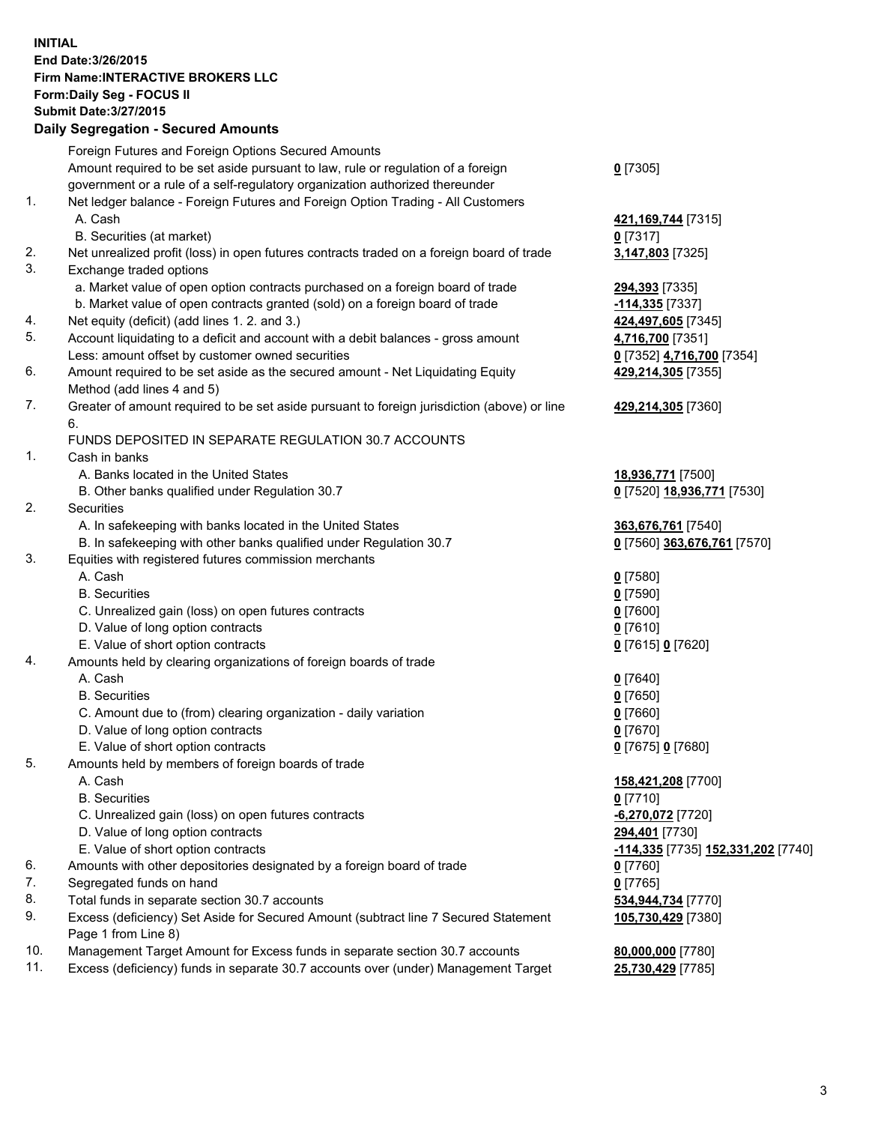## **INITIAL End Date:3/26/2015 Firm Name:INTERACTIVE BROKERS LLC Form:Daily Seg - FOCUS II Submit Date:3/27/2015 Daily Segregation - Secured Amounts**

| $0$ [7305]<br>421, 169, 744 [7315]<br>$0$ [7317]<br>Net unrealized profit (loss) in open futures contracts traded on a foreign board of trade<br>3,147,803 [7325] |
|-------------------------------------------------------------------------------------------------------------------------------------------------------------------|
|                                                                                                                                                                   |
|                                                                                                                                                                   |
|                                                                                                                                                                   |
|                                                                                                                                                                   |
|                                                                                                                                                                   |
|                                                                                                                                                                   |
|                                                                                                                                                                   |
|                                                                                                                                                                   |
| 294,393 [7335]                                                                                                                                                    |
| -114,335 [7337]                                                                                                                                                   |
| 424,497,605 [7345]                                                                                                                                                |
| 4,716,700 [7351]                                                                                                                                                  |
| 0 [7352] 4,716,700 [7354]                                                                                                                                         |
| 429,214,305 [7355]                                                                                                                                                |
|                                                                                                                                                                   |
| Greater of amount required to be set aside pursuant to foreign jurisdiction (above) or line<br>429,214,305 [7360]                                                 |
|                                                                                                                                                                   |
|                                                                                                                                                                   |
|                                                                                                                                                                   |
| 18,936,771 [7500]                                                                                                                                                 |
| 0 [7520] 18,936,771 [7530]                                                                                                                                        |
|                                                                                                                                                                   |
| 363,676,761 [7540]                                                                                                                                                |
| 0 [7560] 363,676,761 [7570]                                                                                                                                       |
|                                                                                                                                                                   |
| $0$ [7580]                                                                                                                                                        |
| $0$ [7590]                                                                                                                                                        |
| $0$ [7600]                                                                                                                                                        |
| $0$ [7610]                                                                                                                                                        |
| 0 [7615] 0 [7620]                                                                                                                                                 |
|                                                                                                                                                                   |
| $0$ [7640]                                                                                                                                                        |
| $0$ [7650]                                                                                                                                                        |
| $0$ [7660]                                                                                                                                                        |
| $0$ [7670]                                                                                                                                                        |
| 0 [7675] 0 [7680]                                                                                                                                                 |
|                                                                                                                                                                   |
| 158,421,208 [7700]                                                                                                                                                |
| $0$ [7710]                                                                                                                                                        |
| -6,270,072 [7720]                                                                                                                                                 |
| 294,401 [7730]                                                                                                                                                    |
| <mark>-114,335</mark> [7735] 152,331,202 [7740]                                                                                                                   |
| $0$ [7760]                                                                                                                                                        |
| $0$ [7765]                                                                                                                                                        |
| 534,944,734 [7770]                                                                                                                                                |
| Excess (deficiency) Set Aside for Secured Amount (subtract line 7 Secured Statement<br>105,730,429 [7380]                                                         |
|                                                                                                                                                                   |
| 80,000,000 [7780]                                                                                                                                                 |
| Excess (deficiency) funds in separate 30.7 accounts over (under) Management Target<br>25,730,429 [7785]                                                           |
|                                                                                                                                                                   |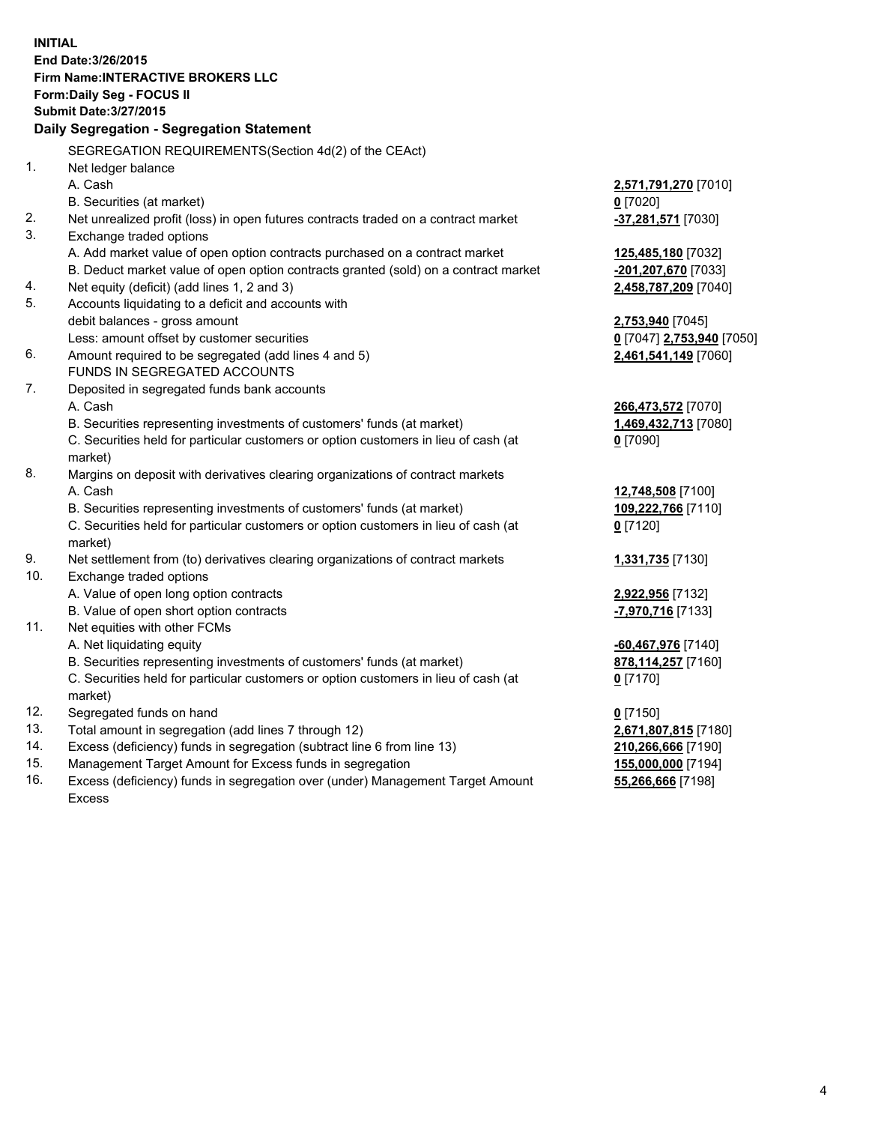**INITIAL End Date:3/26/2015 Firm Name:INTERACTIVE BROKERS LLC Form:Daily Seg - FOCUS II Submit Date:3/27/2015 Daily Segregation - Segregation Statement** SEGREGATION REQUIREMENTS(Section 4d(2) of the CEAct) 1. Net ledger balance A. Cash **2,571,791,270** [7010] B. Securities (at market) **0** [7020] 2. Net unrealized profit (loss) in open futures contracts traded on a contract market **-37,281,571** [7030] 3. Exchange traded options A. Add market value of open option contracts purchased on a contract market **125,485,180** [7032] B. Deduct market value of open option contracts granted (sold) on a contract market **-201,207,670** [7033] 4. Net equity (deficit) (add lines 1, 2 and 3) **2,458,787,209** [7040] 5. Accounts liquidating to a deficit and accounts with debit balances - gross amount **2,753,940** [7045] Less: amount offset by customer securities **0** [7047] **2,753,940** [7050] 6. Amount required to be segregated (add lines 4 and 5) **2,461,541,149** [7060] FUNDS IN SEGREGATED ACCOUNTS 7. Deposited in segregated funds bank accounts A. Cash **266,473,572** [7070] B. Securities representing investments of customers' funds (at market) **1,469,432,713** [7080] C. Securities held for particular customers or option customers in lieu of cash (at market) **0** [7090] 8. Margins on deposit with derivatives clearing organizations of contract markets A. Cash **12,748,508** [7100] B. Securities representing investments of customers' funds (at market) **109,222,766** [7110] C. Securities held for particular customers or option customers in lieu of cash (at market) **0** [7120] 9. Net settlement from (to) derivatives clearing organizations of contract markets **1,331,735** [7130] 10. Exchange traded options A. Value of open long option contracts **2,922,956** [7132] B. Value of open short option contracts **-7,970,716** [7133] 11. Net equities with other FCMs A. Net liquidating equity **-60,467,976** [7140] B. Securities representing investments of customers' funds (at market) **878,114,257** [7160] C. Securities held for particular customers or option customers in lieu of cash (at market) **0** [7170] 12. Segregated funds on hand **0** [7150] 13. Total amount in segregation (add lines 7 through 12) **2,671,807,815** [7180] 14. Excess (deficiency) funds in segregation (subtract line 6 from line 13) **210,266,666** [7190] 15. Management Target Amount for Excess funds in segregation **155,000,000** [7194]

16. Excess (deficiency) funds in segregation over (under) Management Target Amount Excess

**55,266,666** [7198]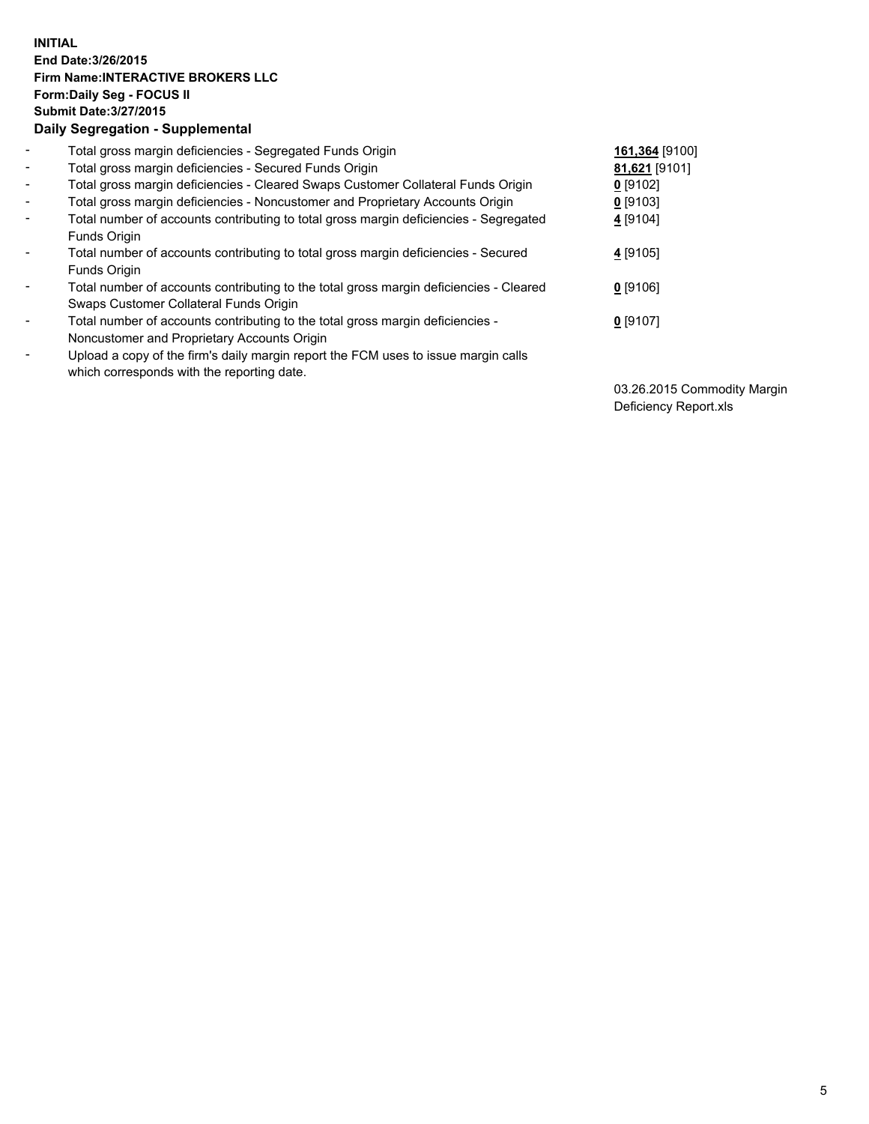## **INITIAL End Date:3/26/2015 Firm Name:INTERACTIVE BROKERS LLC Form:Daily Seg - FOCUS II Submit Date:3/27/2015 Daily Segregation - Supplemental**

| $\blacksquare$           | Total gross margin deficiencies - Segregated Funds Origin                              | 161,364 [9100] |
|--------------------------|----------------------------------------------------------------------------------------|----------------|
| $\blacksquare$           | Total gross margin deficiencies - Secured Funds Origin                                 | 81,621 [9101]  |
| $\blacksquare$           | Total gross margin deficiencies - Cleared Swaps Customer Collateral Funds Origin       | $0$ [9102]     |
| $\blacksquare$           | Total gross margin deficiencies - Noncustomer and Proprietary Accounts Origin          | $0$ [9103]     |
| $\blacksquare$           | Total number of accounts contributing to total gross margin deficiencies - Segregated  | 4 [9104]       |
|                          | Funds Origin                                                                           |                |
| $\blacksquare$           | Total number of accounts contributing to total gross margin deficiencies - Secured     | $4$ [9105]     |
|                          | Funds Origin                                                                           |                |
| $\overline{\phantom{a}}$ | Total number of accounts contributing to the total gross margin deficiencies - Cleared | $0$ [9106]     |
|                          | Swaps Customer Collateral Funds Origin                                                 |                |
| -                        | Total number of accounts contributing to the total gross margin deficiencies -         | $0$ [9107]     |
|                          | Noncustomer and Proprietary Accounts Origin                                            |                |
| $\blacksquare$           | Upload a copy of the firm's daily margin report the FCM uses to issue margin calls     |                |
|                          | which corresponds with the reporting date.                                             |                |

03.26.2015 Commodity Margin Deficiency Report.xls